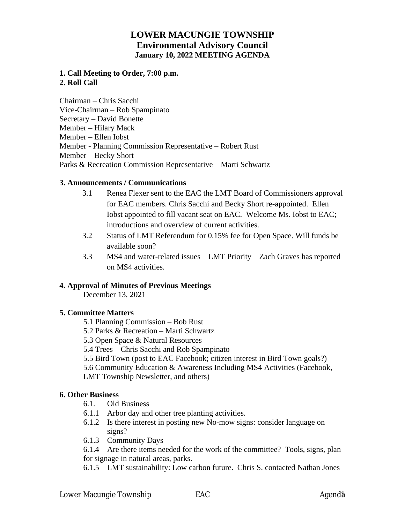# **LOWER MACUNGIE TOWNSHIP Environmental Advisory Council January 10, 2022 MEETING AGENDA**

## **1. Call Meeting to Order, 7:00 p.m. 2. Roll Call**

Chairman – Chris Sacchi Vice-Chairman – Rob Spampinato Secretary – David Bonette Member – Hilary Mack Member – Ellen Iobst Member - Planning Commission Representative – Robert Rust Member – Becky Short Parks & Recreation Commission Representative – Marti Schwartz

## **3. Announcements / Communications**

- 3.1 Renea Flexer sent to the EAC the LMT Board of Commissioners approval for EAC members. Chris Sacchi and Becky Short re-appointed. Ellen Iobst appointed to fill vacant seat on EAC. Welcome Ms. Iobst to EAC; introductions and overview of current activities.
- 3.2 Status of LMT Referendum for 0.15% fee for Open Space. Will funds be available soon?
- 3.3 MS4 and water-related issues LMT Priority Zach Graves has reported on MS4 activities.

### **4. Approval of Minutes of Previous Meetings**

December 13, 2021

### **5. Committee Matters**

- 5.1 Planning Commission Bob Rust
- 5.2 Parks & Recreation Marti Schwartz
- 5.3 Open Space & Natural Resources
- 5.4 Trees Chris Sacchi and Rob Spampinato
- 5.5 Bird Town (post to EAC Facebook; citizen interest in Bird Town goals?)
- 5.6 Community Education & Awareness Including MS4 Activities (Facebook,
- LMT Township Newsletter, and others)

### **6. Other Business**

- 6.1. Old Business
- 6.1.1 Arbor day and other tree planting activities.
- 6.1.2 Is there interest in posting new No-mow signs: consider language on signs?
- 6.1.3 Community Days

6.1.4 Are there items needed for the work of the committee? Tools, signs, plan for signage in natural areas, parks.

6.1.5 LMT sustainability: Low carbon future. Chris S. contacted Nathan Jones